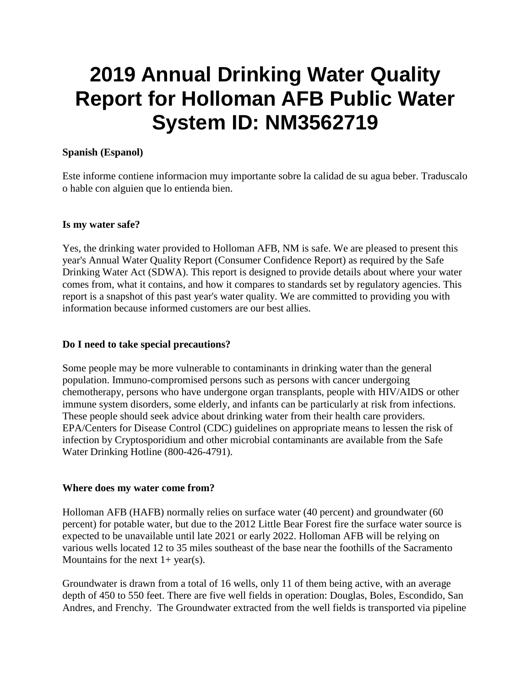# **2019 Annual Drinking Water Quality Report for Holloman AFB Public Water System ID: NM3562719**

#### **Spanish (Espanol)**

Este informe contiene informacion muy importante sobre la calidad de su agua beber. Traduscalo o hable con alguien que lo entienda bien.

#### **Is my water safe?**

Yes, the drinking water provided to Holloman AFB, NM is safe. We are pleased to present this year's Annual Water Quality Report (Consumer Confidence Report) as required by the Safe Drinking Water Act (SDWA). This report is designed to provide details about where your water comes from, what it contains, and how it compares to standards set by regulatory agencies. This report is a snapshot of this past year's water quality. We are committed to providing you with information because informed customers are our best allies.

#### **Do I need to take special precautions?**

Some people may be more vulnerable to contaminants in drinking water than the general population. Immuno-compromised persons such as persons with cancer undergoing chemotherapy, persons who have undergone organ transplants, people with HIV/AIDS or other immune system disorders, some elderly, and infants can be particularly at risk from infections. These people should seek advice about drinking water from their health care providers. EPA/Centers for Disease Control (CDC) guidelines on appropriate means to lessen the risk of infection by Cryptosporidium and other microbial contaminants are available from the Safe Water Drinking Hotline (800-426-4791).

#### **Where does my water come from?**

Holloman AFB (HAFB) normally relies on surface water (40 percent) and groundwater (60 percent) for potable water, but due to the 2012 Little Bear Forest fire the surface water source is expected to be unavailable until late 2021 or early 2022. Holloman AFB will be relying on various wells located 12 to 35 miles southeast of the base near the foothills of the Sacramento Mountains for the next  $1+$  year(s).

Groundwater is drawn from a total of 16 wells, only 11 of them being active, with an average depth of 450 to 550 feet. There are five well fields in operation: Douglas, Boles, Escondido, San Andres, and Frenchy. The Groundwater extracted from the well fields is transported via pipeline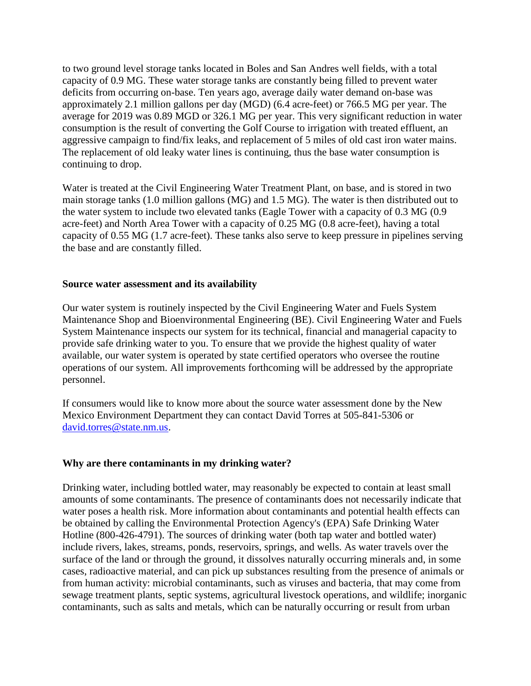to two ground level storage tanks located in Boles and San Andres well fields, with a total capacity of 0.9 MG. These water storage tanks are constantly being filled to prevent water deficits from occurring on-base. Ten years ago, average daily water demand on-base was approximately 2.1 million gallons per day (MGD) (6.4 acre-feet) or 766.5 MG per year. The average for 2019 was 0.89 MGD or 326.1 MG per year. This very significant reduction in water consumption is the result of converting the Golf Course to irrigation with treated effluent, an aggressive campaign to find/fix leaks, and replacement of 5 miles of old cast iron water mains. The replacement of old leaky water lines is continuing, thus the base water consumption is continuing to drop.

Water is treated at the Civil Engineering Water Treatment Plant, on base, and is stored in two main storage tanks (1.0 million gallons (MG) and 1.5 MG). The water is then distributed out to the water system to include two elevated tanks (Eagle Tower with a capacity of 0.3 MG (0.9 acre-feet) and North Area Tower with a capacity of 0.25 MG (0.8 acre-feet), having a total capacity of 0.55 MG (1.7 acre-feet). These tanks also serve to keep pressure in pipelines serving the base and are constantly filled.

#### **Source water assessment and its availability**

Our water system is routinely inspected by the Civil Engineering Water and Fuels System Maintenance Shop and Bioenvironmental Engineering (BE). Civil Engineering Water and Fuels System Maintenance inspects our system for its technical, financial and managerial capacity to provide safe drinking water to you. To ensure that we provide the highest quality of water available, our water system is operated by state certified operators who oversee the routine operations of our system. All improvements forthcoming will be addressed by the appropriate personnel.

If consumers would like to know more about the source water assessment done by the New Mexico Environment Department they can contact David Torres at 505-841-5306 or [david.torres@state.nm.us.](mailto:david.torres@state.nm.us)

#### **Why are there contaminants in my drinking water?**

Drinking water, including bottled water, may reasonably be expected to contain at least small amounts of some contaminants. The presence of contaminants does not necessarily indicate that water poses a health risk. More information about contaminants and potential health effects can be obtained by calling the Environmental Protection Agency's (EPA) Safe Drinking Water Hotline (800-426-4791). The sources of drinking water (both tap water and bottled water) include rivers, lakes, streams, ponds, reservoirs, springs, and wells. As water travels over the surface of the land or through the ground, it dissolves naturally occurring minerals and, in some cases, radioactive material, and can pick up substances resulting from the presence of animals or from human activity: microbial contaminants, such as viruses and bacteria, that may come from sewage treatment plants, septic systems, agricultural livestock operations, and wildlife; inorganic contaminants, such as salts and metals, which can be naturally occurring or result from urban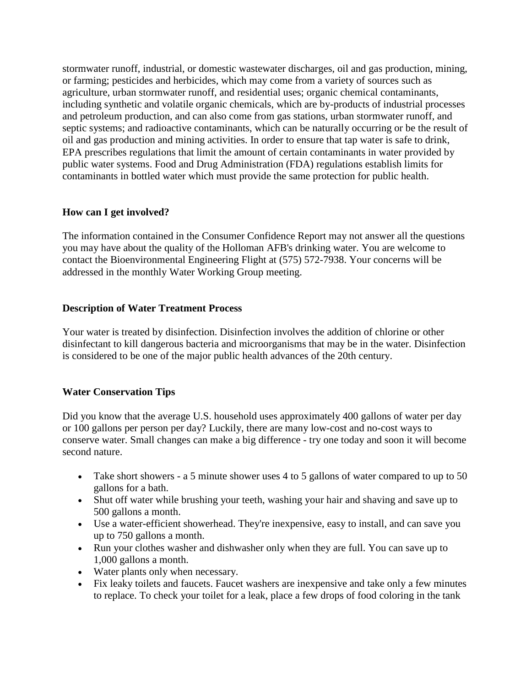stormwater runoff, industrial, or domestic wastewater discharges, oil and gas production, mining, or farming; pesticides and herbicides, which may come from a variety of sources such as agriculture, urban stormwater runoff, and residential uses; organic chemical contaminants, including synthetic and volatile organic chemicals, which are by-products of industrial processes and petroleum production, and can also come from gas stations, urban stormwater runoff, and septic systems; and radioactive contaminants, which can be naturally occurring or be the result of oil and gas production and mining activities. In order to ensure that tap water is safe to drink, EPA prescribes regulations that limit the amount of certain contaminants in water provided by public water systems. Food and Drug Administration (FDA) regulations establish limits for contaminants in bottled water which must provide the same protection for public health.

# **How can I get involved?**

The information contained in the Consumer Confidence Report may not answer all the questions you may have about the quality of the Holloman AFB's drinking water. You are welcome to contact the Bioenvironmental Engineering Flight at (575) 572-7938. Your concerns will be addressed in the monthly Water Working Group meeting.

# **Description of Water Treatment Process**

Your water is treated by disinfection. Disinfection involves the addition of chlorine or other disinfectant to kill dangerous bacteria and microorganisms that may be in the water. Disinfection is considered to be one of the major public health advances of the 20th century.

# **Water Conservation Tips**

Did you know that the average U.S. household uses approximately 400 gallons of water per day or 100 gallons per person per day? Luckily, there are many low-cost and no-cost ways to conserve water. Small changes can make a big difference - try one today and soon it will become second nature.

- Take short showers a 5 minute shower uses 4 to 5 gallons of water compared to up to 50 gallons for a bath.
- Shut off water while brushing your teeth, washing your hair and shaving and save up to 500 gallons a month.
- Use a water-efficient showerhead. They're inexpensive, easy to install, and can save you up to 750 gallons a month.
- Run your clothes washer and dishwasher only when they are full. You can save up to 1,000 gallons a month.
- Water plants only when necessary.
- Fix leaky toilets and faucets. Faucet washers are inexpensive and take only a few minutes to replace. To check your toilet for a leak, place a few drops of food coloring in the tank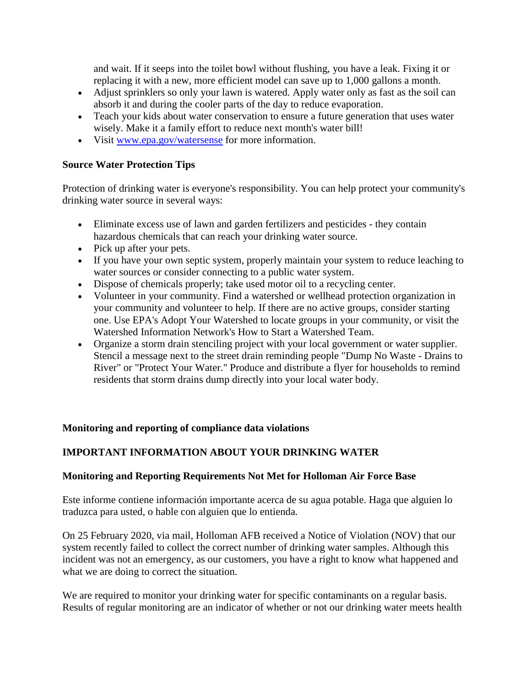and wait. If it seeps into the toilet bowl without flushing, you have a leak. Fixing it or replacing it with a new, more efficient model can save up to 1,000 gallons a month.

- Adjust sprinklers so only your lawn is watered. Apply water only as fast as the soil can absorb it and during the cooler parts of the day to reduce evaporation.
- Teach your kids about water conservation to ensure a future generation that uses water wisely. Make it a family effort to reduce next month's water bill!
- Visit [www.epa.gov/watersense](http://www.epa.gov/watersense) for more information.

### **Source Water Protection Tips**

Protection of drinking water is everyone's responsibility. You can help protect your community's drinking water source in several ways:

- Eliminate excess use of lawn and garden fertilizers and pesticides they contain hazardous chemicals that can reach your drinking water source.
- Pick up after your pets.
- If you have your own septic system, properly maintain your system to reduce leaching to water sources or consider connecting to a public water system.
- Dispose of chemicals properly; take used motor oil to a recycling center.
- Volunteer in your community. Find a watershed or wellhead protection organization in your community and volunteer to help. If there are no active groups, consider starting one. Use EPA's Adopt Your Watershed to locate groups in your community, or visit the Watershed Information Network's How to Start a Watershed Team.
- Organize a storm drain stenciling project with your local government or water supplier. Stencil a message next to the street drain reminding people "Dump No Waste - Drains to River" or "Protect Your Water." Produce and distribute a flyer for households to remind residents that storm drains dump directly into your local water body.

#### **Monitoring and reporting of compliance data violations**

# **IMPORTANT INFORMATION ABOUT YOUR DRINKING WATER**

#### **Monitoring and Reporting Requirements Not Met for Holloman Air Force Base**

Este informe contiene información importante acerca de su agua potable. Haga que alguien lo traduzca para usted, o hable con alguien que lo entienda.

On 25 February 2020, via mail, Holloman AFB received a Notice of Violation (NOV) that our system recently failed to collect the correct number of drinking water samples. Although this incident was not an emergency, as our customers, you have a right to know what happened and what we are doing to correct the situation.

We are required to monitor your drinking water for specific contaminants on a regular basis. Results of regular monitoring are an indicator of whether or not our drinking water meets health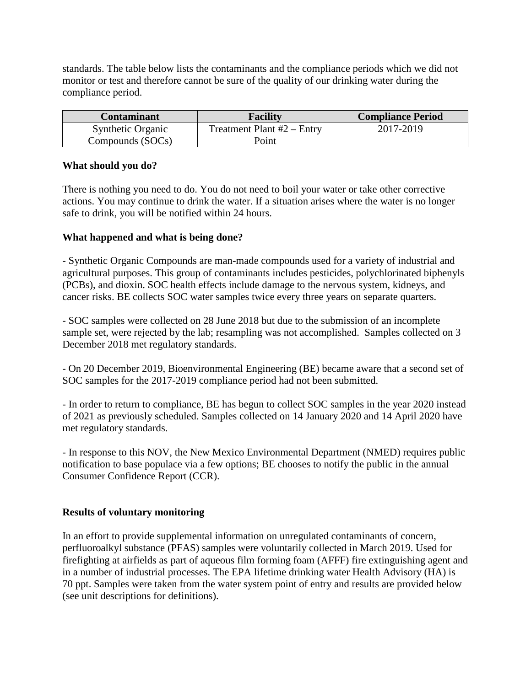standards. The table below lists the contaminants and the compliance periods which we did not monitor or test and therefore cannot be sure of the quality of our drinking water during the compliance period.

| <b>Contaminant</b>       | <b>Facility</b>              | <b>Compliance Period</b> |
|--------------------------|------------------------------|--------------------------|
| <b>Synthetic Organic</b> | Treatment Plant $#2$ – Entry | 2017-2019                |
| Compounds (SOCs)         | Point                        |                          |

#### **What should you do?**

There is nothing you need to do. You do not need to boil your water or take other corrective actions. You may continue to drink the water. If a situation arises where the water is no longer safe to drink, you will be notified within 24 hours.

#### **What happened and what is being done?**

- Synthetic Organic Compounds are man-made compounds used for a variety of industrial and agricultural purposes. This group of contaminants includes pesticides, polychlorinated biphenyls (PCBs), and dioxin. SOC health effects include damage to the nervous system, kidneys, and cancer risks. BE collects SOC water samples twice every three years on separate quarters.

- SOC samples were collected on 28 June 2018 but due to the submission of an incomplete sample set, were rejected by the lab; resampling was not accomplished. Samples collected on 3 December 2018 met regulatory standards.

- On 20 December 2019, Bioenvironmental Engineering (BE) became aware that a second set of SOC samples for the 2017-2019 compliance period had not been submitted.

- In order to return to compliance, BE has begun to collect SOC samples in the year 2020 instead of 2021 as previously scheduled. Samples collected on 14 January 2020 and 14 April 2020 have met regulatory standards.

- In response to this NOV, the New Mexico Environmental Department (NMED) requires public notification to base populace via a few options; BE chooses to notify the public in the annual Consumer Confidence Report (CCR).

#### **Results of voluntary monitoring**

In an effort to provide supplemental information on unregulated contaminants of concern, perfluoroalkyl substance (PFAS) samples were voluntarily collected in March 2019. Used for firefighting at airfields as part of aqueous film forming foam (AFFF) fire extinguishing agent and in a number of industrial processes. The EPA lifetime drinking water Health Advisory (HA) is 70 ppt. Samples were taken from the water system point of entry and results are provided below (see unit descriptions for definitions).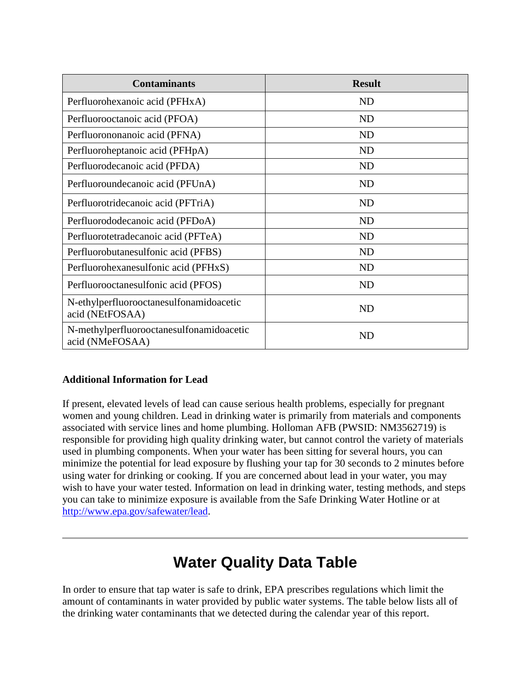| <b>Contaminants</b>                                         | <b>Result</b> |
|-------------------------------------------------------------|---------------|
| Perfluorohexanoic acid (PFHxA)                              | ND            |
| Perfluorooctanoic acid (PFOA)                               | <b>ND</b>     |
| Perfluorononanoic acid (PFNA)                               | <b>ND</b>     |
| Perfluoroheptanoic acid (PFHpA)                             | <b>ND</b>     |
| Perfluorodecanoic acid (PFDA)                               | ND            |
| Perfluoroundecanoic acid (PFUnA)                            | <b>ND</b>     |
| Perfluorotridecanoic acid (PFTriA)                          | <b>ND</b>     |
| Perfluorododecanoic acid (PFDoA)                            | <b>ND</b>     |
| Perfluorotetradecanoic acid (PFTeA)                         | <b>ND</b>     |
| Perfluorobutanesulfonic acid (PFBS)                         | <b>ND</b>     |
| Perfluorohexanesulfonic acid (PFHxS)                        | <b>ND</b>     |
| Perfluorooctanesulfonic acid (PFOS)                         | <b>ND</b>     |
| N-ethylperfluorooctanesulfonamidoacetic<br>acid (NEtFOSAA)  | <b>ND</b>     |
| N-methylperfluorooctanesulfonamidoacetic<br>acid (NMeFOSAA) | ND            |

# **Additional Information for Lead**

If present, elevated levels of lead can cause serious health problems, especially for pregnant women and young children. Lead in drinking water is primarily from materials and components associated with service lines and home plumbing. Holloman AFB (PWSID: NM3562719) is responsible for providing high quality drinking water, but cannot control the variety of materials used in plumbing components. When your water has been sitting for several hours, you can minimize the potential for lead exposure by flushing your tap for 30 seconds to 2 minutes before using water for drinking or cooking. If you are concerned about lead in your water, you may wish to have your water tested. Information on lead in drinking water, testing methods, and steps you can take to minimize exposure is available from the Safe Drinking Water Hotline or at [http://www.epa.gov/safewater/lead.](http://www.epa.gov/safewater/lead)

# **Water Quality Data Table**

In order to ensure that tap water is safe to drink, EPA prescribes regulations which limit the amount of contaminants in water provided by public water systems. The table below lists all of the drinking water contaminants that we detected during the calendar year of this report.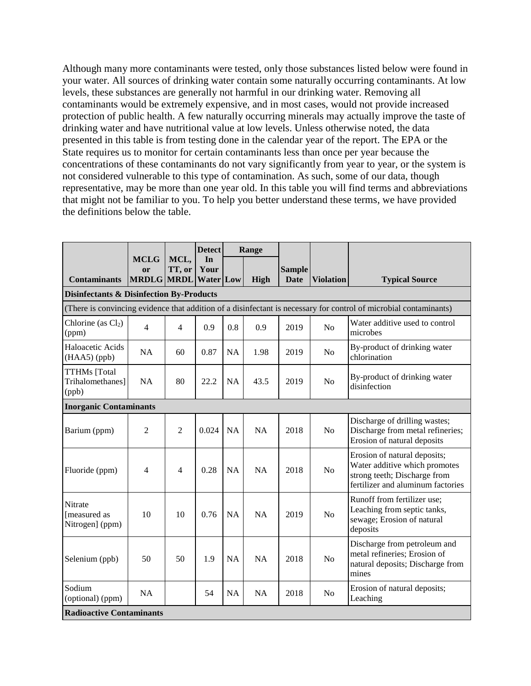Although many more contaminants were tested, only those substances listed below were found in your water. All sources of drinking water contain some naturally occurring contaminants. At low levels, these substances are generally not harmful in our drinking water. Removing all contaminants would be extremely expensive, and in most cases, would not provide increased protection of public health. A few naturally occurring minerals may actually improve the taste of drinking water and have nutritional value at low levels. Unless otherwise noted, the data presented in this table is from testing done in the calendar year of the report. The EPA or the State requires us to monitor for certain contaminants less than once per year because the concentrations of these contaminants do not vary significantly from year to year, or the system is not considered vulnerable to this type of contamination. As such, some of our data, though representative, may be more than one year old. In this table you will find terms and abbreviations that might not be familiar to you. To help you better understand these terms, we have provided the definitions below the table.

|                                                     |                                                                                                                   |                | <b>Detect</b>                  |           | Range     |                              |                  |                                                                                                                                    |  |  |
|-----------------------------------------------------|-------------------------------------------------------------------------------------------------------------------|----------------|--------------------------------|-----------|-----------|------------------------------|------------------|------------------------------------------------------------------------------------------------------------------------------------|--|--|
| <b>Contaminants</b>                                 | <b>MCLG</b><br>or<br><b>MRDLG MRDL</b>                                                                            | MCL,<br>TT, or | In<br>Your<br><b>Water Low</b> |           | High      | <b>Sample</b><br><b>Date</b> | <b>Violation</b> | <b>Typical Source</b>                                                                                                              |  |  |
| <b>Disinfectants &amp; Disinfection By-Products</b> |                                                                                                                   |                |                                |           |           |                              |                  |                                                                                                                                    |  |  |
|                                                     | (There is convincing evidence that addition of a disinfectant is necessary for control of microbial contaminants) |                |                                |           |           |                              |                  |                                                                                                                                    |  |  |
| Chlorine (as $Cl2$ )<br>(ppm)                       | 4                                                                                                                 | $\overline{4}$ | 0.9                            | 0.8       | 0.9       | 2019                         | No               | Water additive used to control<br>microbes                                                                                         |  |  |
| Haloacetic Acids<br>$(HAA5)$ (ppb)                  | <b>NA</b>                                                                                                         | 60             | 0.87                           | <b>NA</b> | 1.98      | 2019                         | N <sub>o</sub>   | By-product of drinking water<br>chlorination                                                                                       |  |  |
| <b>TTHMs</b> [Total<br>Trihalomethanes]<br>(ppb)    | <b>NA</b>                                                                                                         | 80             | 22.2                           | <b>NA</b> | 43.5      | 2019                         | N <sub>o</sub>   | By-product of drinking water<br>disinfection                                                                                       |  |  |
| <b>Inorganic Contaminants</b>                       |                                                                                                                   |                |                                |           |           |                              |                  |                                                                                                                                    |  |  |
| Barium (ppm)                                        | $\overline{2}$                                                                                                    | $\overline{2}$ | 0.024                          | <b>NA</b> | NA        | 2018                         | No               | Discharge of drilling wastes;<br>Discharge from metal refineries;<br>Erosion of natural deposits                                   |  |  |
| Fluoride (ppm)                                      | 4                                                                                                                 | 4              | 0.28                           | <b>NA</b> | NA        | 2018                         | No               | Erosion of natural deposits;<br>Water additive which promotes<br>strong teeth; Discharge from<br>fertilizer and aluminum factories |  |  |
| Nitrate<br>[measured as<br>Nitrogen] (ppm)          | 10                                                                                                                | 10             | 0.76                           | <b>NA</b> | <b>NA</b> | 2019                         | No               | Runoff from fertilizer use;<br>Leaching from septic tanks,<br>sewage; Erosion of natural<br>deposits                               |  |  |
| Selenium (ppb)                                      | 50                                                                                                                | 50             | 1.9                            | <b>NA</b> | NA        | 2018                         | N <sub>o</sub>   | Discharge from petroleum and<br>metal refineries; Erosion of<br>natural deposits; Discharge from<br>mines                          |  |  |
| Sodium<br>(optional) (ppm)                          | <b>NA</b>                                                                                                         |                | 54                             | <b>NA</b> | NA        | 2018                         | N <sub>o</sub>   | Erosion of natural deposits;<br>Leaching                                                                                           |  |  |
| <b>Radioactive Contaminants</b>                     |                                                                                                                   |                |                                |           |           |                              |                  |                                                                                                                                    |  |  |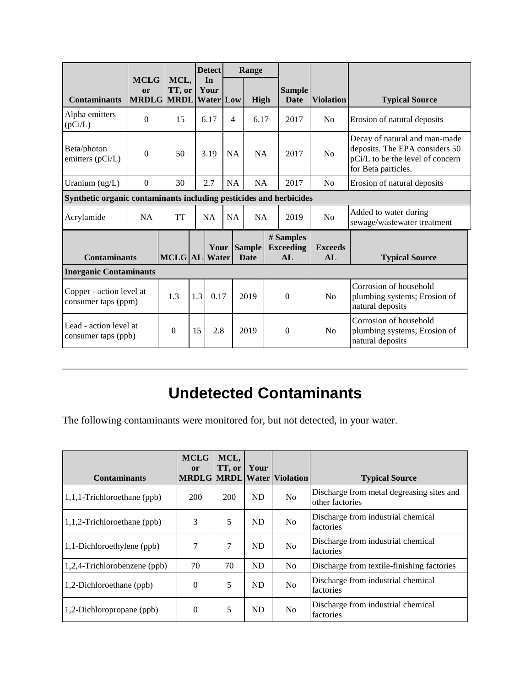|                                                                    |                                                                                      |                |           | <b>Detect</b>                  |                                      | Range                 |                                                                            |                              |                  |                                                                                                                            |  |
|--------------------------------------------------------------------|--------------------------------------------------------------------------------------|----------------|-----------|--------------------------------|--------------------------------------|-----------------------|----------------------------------------------------------------------------|------------------------------|------------------|----------------------------------------------------------------------------------------------------------------------------|--|
| <b>Contaminants</b>                                                | <b>MCLG</b><br><b>or</b><br><b>MRDLG MRDL</b>                                        | MCL,<br>TT, or |           | In<br>Your<br><b>Water Low</b> |                                      | <b>High</b>           |                                                                            | <b>Sample</b><br><b>Date</b> | <b>Violation</b> | <b>Typical Source</b>                                                                                                      |  |
| Alpha emitters<br>(pCi/L)                                          | $\Omega$                                                                             | 15             |           | 6.17                           | 4                                    | 6.17                  |                                                                            | 2017                         | No               | Erosion of natural deposits                                                                                                |  |
| Beta/photon<br>emitters (pCi/L)                                    | $\boldsymbol{0}$                                                                     | 50             |           | 3.19<br><b>NA</b>              |                                      | <b>NA</b>             |                                                                            | 2017                         | No               | Decay of natural and man-made<br>deposits. The EPA considers 50<br>pCi/L to be the level of concern<br>for Beta particles. |  |
| Uranium (ug/L)                                                     | $\Omega$                                                                             | 30             |           | 2.7                            | <b>NA</b>                            | NA                    |                                                                            | 2017<br>No                   |                  | Erosion of natural deposits                                                                                                |  |
| Synthetic organic contaminants including pesticides and herbicides |                                                                                      |                |           |                                |                                      |                       |                                                                            |                              |                  |                                                                                                                            |  |
| Acrylamide                                                         | <b>NA</b>                                                                            | <b>TT</b>      | <b>NA</b> |                                | <b>NA</b><br>NA                      |                       |                                                                            | 2019                         | No               | Added to water during<br>sewage/wastewater treatment                                                                       |  |
|                                                                    | <b>Sample</b><br>Your<br><b>Contaminants</b><br><b>MCLG</b>  AL Water<br><b>Date</b> |                |           |                                | # Samples<br><b>Exceeding</b><br>AI. | <b>Exceeds</b><br>AI. | <b>Typical Source</b>                                                      |                              |                  |                                                                                                                            |  |
| <b>Inorganic Contaminants</b>                                      |                                                                                      |                |           |                                |                                      |                       |                                                                            |                              |                  |                                                                                                                            |  |
|                                                                    | Copper - action level at<br>1.3<br>1.3<br>0.17<br>consumer taps (ppm)                |                | 2019      |                                | $\overline{0}$                       | No                    | Corrosion of household<br>plumbing systems; Erosion of<br>natural deposits |                              |                  |                                                                                                                            |  |
| Lead - action level at<br>consumer taps (ppb)                      |                                                                                      | $\theta$       | 15        | 2.8                            | 2019                                 |                       |                                                                            | $\Omega$                     | No               | Corrosion of household<br>plumbing systems; Erosion of<br>natural deposits                                                 |  |

# **Undetected Contaminants**

The following contaminants were monitored for, but not detected, in your water.

|                                | <b>MCLG</b><br><sub>or</sub> | MCL,<br>TT, or | Your      |                                   |                                                              |
|--------------------------------|------------------------------|----------------|-----------|-----------------------------------|--------------------------------------------------------------|
| <b>Contaminants</b>            |                              |                |           | <b>MRDLG MRDL Water Violation</b> | <b>Typical Source</b>                                        |
| $1,1,1$ -Trichloroethane (ppb) | 200                          | 200            | <b>ND</b> | N <sub>0</sub>                    | Discharge from metal degreasing sites and<br>other factories |
| 1,1,2-Trichloroethane (ppb)    | 3                            | 5              | <b>ND</b> | N <sub>0</sub>                    | Discharge from industrial chemical<br>factories              |
| 1,1-Dichloroethylene (ppb)     | 7                            | 7              | ND        | N <sub>0</sub>                    | Discharge from industrial chemical<br>factories              |
| 1,2,4-Trichlorobenzene (ppb)   | 70                           | 70             | <b>ND</b> | N <sub>0</sub>                    | Discharge from textile-finishing factories                   |
| 1,2-Dichloroethane (ppb)       | $\theta$                     | 5              | ND        | No                                | Discharge from industrial chemical<br>factories              |
| 1,2-Dichloropropane (ppb)      | $\theta$                     | 5              | <b>ND</b> | No                                | Discharge from industrial chemical<br>factories              |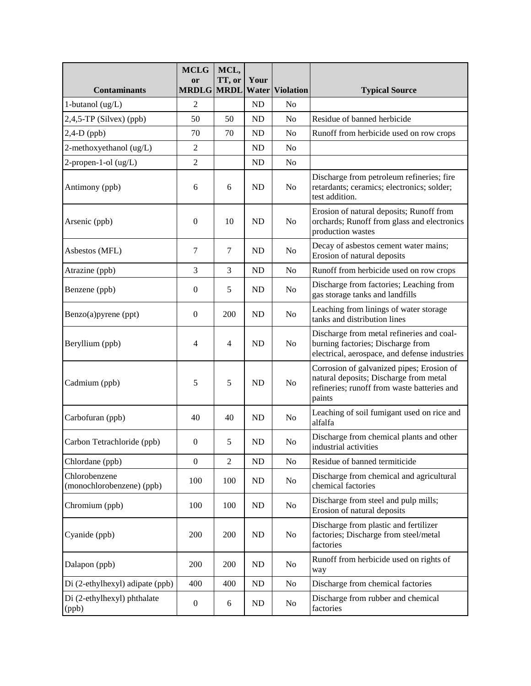| <b>Contaminants</b>                        | <b>MCLG</b><br>or<br><b>MRDLG</b> | MCL,<br>TT, or<br><b>MRDL</b> | Your           | <b>Water Violation</b> | <b>Typical Source</b>                                                                                                                        |
|--------------------------------------------|-----------------------------------|-------------------------------|----------------|------------------------|----------------------------------------------------------------------------------------------------------------------------------------------|
| 1-butanol (ug/L)                           | 2                                 |                               | ND             | No                     |                                                                                                                                              |
| $2,4,5$ -TP (Silvex) (ppb)                 | 50                                | 50                            | ND             | No                     | Residue of banned herbicide                                                                                                                  |
| $2,4-D$ (ppb)                              | 70                                | 70                            | ND             | No                     | Runoff from herbicide used on row crops                                                                                                      |
| 2-methoxyethanol (ug/L)                    | $\overline{c}$                    |                               | ND             | No                     |                                                                                                                                              |
| $2$ -propen-1-ol (ug/L)                    | $\overline{c}$                    |                               | N <sub>D</sub> | No                     |                                                                                                                                              |
| Antimony (ppb)                             | 6                                 | 6                             | ND             | No                     | Discharge from petroleum refineries; fire<br>retardants; ceramics; electronics; solder;<br>test addition.                                    |
| Arsenic (ppb)                              | $\theta$                          | 10                            | N <sub>D</sub> | No                     | Erosion of natural deposits; Runoff from<br>orchards; Runoff from glass and electronics<br>production wastes                                 |
| Asbestos (MFL)                             | 7                                 | 7                             | <b>ND</b>      | N <sub>0</sub>         | Decay of asbestos cement water mains;<br>Erosion of natural deposits                                                                         |
| Atrazine (ppb)                             | 3                                 | 3                             | N <sub>D</sub> | No                     | Runoff from herbicide used on row crops                                                                                                      |
| Benzene (ppb)                              | $\boldsymbol{0}$                  | 5                             | <b>ND</b>      | N <sub>o</sub>         | Discharge from factories; Leaching from<br>gas storage tanks and landfills                                                                   |
| Benzo(a)pyrene (ppt)                       | $\boldsymbol{0}$                  | 200                           | <b>ND</b>      | No                     | Leaching from linings of water storage<br>tanks and distribution lines                                                                       |
| Beryllium (ppb)                            | 4                                 | 4                             | N <sub>D</sub> | No                     | Discharge from metal refineries and coal-<br>burning factories; Discharge from<br>electrical, aerospace, and defense industries              |
| Cadmium (ppb)                              | 5                                 | 5                             | <b>ND</b>      | N <sub>0</sub>         | Corrosion of galvanized pipes; Erosion of<br>natural deposits; Discharge from metal<br>refineries; runoff from waste batteries and<br>paints |
| Carbofuran (ppb)                           | 40                                | 40                            | N <sub>D</sub> | No                     | Leaching of soil fumigant used on rice and<br>alfalfa                                                                                        |
| Carbon Tetrachloride (ppb)                 | $\overline{0}$                    | 5                             | ND             | N <sub>o</sub>         | Discharge from chemical plants and other<br>industrial activities                                                                            |
| Chlordane (ppb)                            | $\overline{0}$                    | $\overline{2}$                | ND             | No                     | Residue of banned termiticide                                                                                                                |
| Chlorobenzene<br>(monochlorobenzene) (ppb) | 100                               | 100                           | ND             | N <sub>o</sub>         | Discharge from chemical and agricultural<br>chemical factories                                                                               |
| Chromium (ppb)                             | 100                               | 100                           | ND             | No                     | Discharge from steel and pulp mills;<br>Erosion of natural deposits                                                                          |
| Cyanide (ppb)                              | 200                               | 200                           | ND             | No                     | Discharge from plastic and fertilizer<br>factories; Discharge from steel/metal<br>factories                                                  |
| Dalapon (ppb)                              | 200                               | 200                           | ND             | N <sub>o</sub>         | Runoff from herbicide used on rights of<br>way                                                                                               |
| Di (2-ethylhexyl) adipate (ppb)            | 400                               | 400                           | ND             | No                     | Discharge from chemical factories                                                                                                            |
| Di (2-ethylhexyl) phthalate<br>(ppb)       | $\boldsymbol{0}$                  | 6                             | ND             | N <sub>o</sub>         | Discharge from rubber and chemical<br>factories                                                                                              |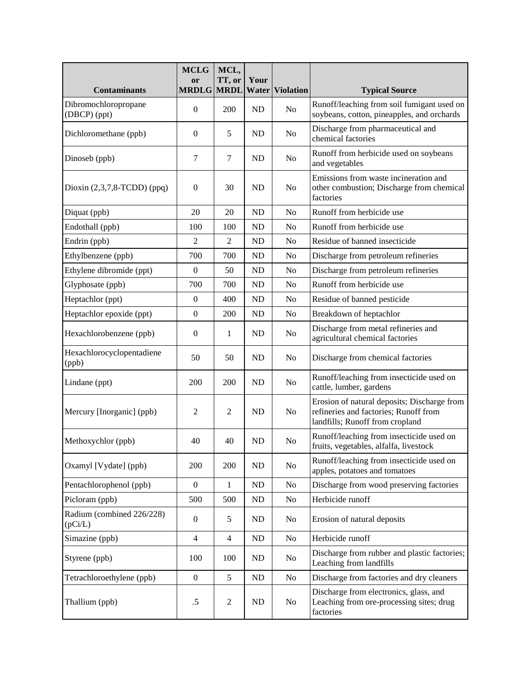| <b>Contaminants</b>                  | <b>MCLG</b><br>or<br><b>MRDLG MRDL</b> | MCL,<br>TT, or   | Your<br>Water | <b>Violation</b> | <b>Typical Source</b>                                                                                                   |
|--------------------------------------|----------------------------------------|------------------|---------------|------------------|-------------------------------------------------------------------------------------------------------------------------|
| Dibromochloropropane<br>(DBCP) (ppt) | $\boldsymbol{0}$                       | 200              | ND            | N <sub>o</sub>   | Runoff/leaching from soil fumigant used on<br>soybeans, cotton, pineapples, and orchards                                |
| Dichloromethane (ppb)                | $\overline{0}$                         | 5                | ND            | N <sub>o</sub>   | Discharge from pharmaceutical and<br>chemical factories                                                                 |
| Dinoseb (ppb)                        | $\tau$                                 | 7                | <b>ND</b>     | N <sub>o</sub>   | Runoff from herbicide used on soybeans<br>and vegetables                                                                |
| Dioxin $(2,3,7,8$ -TCDD $)$ (ppq)    | $\boldsymbol{0}$                       | 30               | ND            | N <sub>o</sub>   | Emissions from waste incineration and<br>other combustion; Discharge from chemical<br>factories                         |
| Diquat (ppb)                         | 20                                     | 20               | ND            | N <sub>o</sub>   | Runoff from herbicide use                                                                                               |
| Endothall (ppb)                      | 100                                    | 100              | ND            | N <sub>o</sub>   | Runoff from herbicide use                                                                                               |
| Endrin (ppb)                         | $\overline{2}$                         | $\overline{2}$   | ND            | N <sub>0</sub>   | Residue of banned insecticide                                                                                           |
| Ethylbenzene (ppb)                   | 700                                    | 700              | ND            | N <sub>o</sub>   | Discharge from petroleum refineries                                                                                     |
| Ethylene dibromide (ppt)             | $\mathbf{0}$                           | 50               | ND            | N <sub>o</sub>   | Discharge from petroleum refineries                                                                                     |
| Glyphosate (ppb)                     | 700                                    | 700              | ND            | N <sub>o</sub>   | Runoff from herbicide use                                                                                               |
| Heptachlor (ppt)                     | $\boldsymbol{0}$                       | 400              | ND            | N <sub>o</sub>   | Residue of banned pesticide                                                                                             |
| Heptachlor epoxide (ppt)             | $\boldsymbol{0}$                       | 200              | ND            | N <sub>o</sub>   | Breakdown of heptachlor                                                                                                 |
| Hexachlorobenzene (ppb)              | $\boldsymbol{0}$                       | 1                | ND            | N <sub>o</sub>   | Discharge from metal refineries and<br>agricultural chemical factories                                                  |
| Hexachlorocyclopentadiene<br>(ppb)   | 50                                     | 50               | ND            | N <sub>o</sub>   | Discharge from chemical factories                                                                                       |
| Lindane (ppt)                        | 200                                    | 200              | ND            | N <sub>o</sub>   | Runoff/leaching from insecticide used on<br>cattle, lumber, gardens                                                     |
| Mercury [Inorganic] (ppb)            | $\overline{2}$                         | $\overline{2}$   | ND            | N <sub>o</sub>   | Erosion of natural deposits; Discharge from<br>refineries and factories; Runoff from<br>landfills; Runoff from cropland |
| Methoxychlor (ppb)                   | 40                                     | 40               | <b>ND</b>     | N <sub>o</sub>   | Runoff/leaching from insecticide used on<br>fruits, vegetables, alfalfa, livestock                                      |
| Oxamyl [Vydate] (ppb)                | 200                                    | 200              | ND            | N <sub>o</sub>   | Runoff/leaching from insecticide used on<br>apples, potatoes and tomatoes                                               |
| Pentachlorophenol (ppb)              | $\boldsymbol{0}$                       | 1                | ND            | No               | Discharge from wood preserving factories                                                                                |
| Picloram (ppb)                       | 500                                    | 500              | ND            | No               | Herbicide runoff                                                                                                        |
| Radium (combined 226/228)<br>(pCi/L) | $\boldsymbol{0}$                       | 5                | ND            | N <sub>o</sub>   | Erosion of natural deposits                                                                                             |
| Simazine (ppb)                       | $\overline{4}$                         | $\overline{4}$   | ND            | N <sub>0</sub>   | Herbicide runoff                                                                                                        |
| Styrene (ppb)                        | 100                                    | 100              | ND            | No               | Discharge from rubber and plastic factories;<br>Leaching from landfills                                                 |
| Tetrachloroethylene (ppb)            | $\boldsymbol{0}$                       | 5                | ND            | No               | Discharge from factories and dry cleaners                                                                               |
| Thallium (ppb)                       | .5                                     | $\boldsymbol{2}$ | ND            | No               | Discharge from electronics, glass, and<br>Leaching from ore-processing sites; drug<br>factories                         |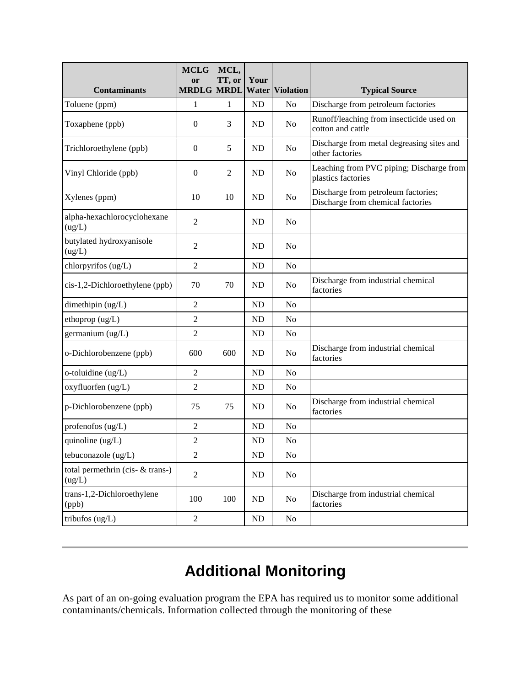| <b>Contaminants</b>                          | <b>MCLG</b><br>or<br><b>MRDLG MRDL</b> | MCL,<br>TT, or | Your           | <b>Water Violation</b> | <b>Typical Source</b>                                                    |
|----------------------------------------------|----------------------------------------|----------------|----------------|------------------------|--------------------------------------------------------------------------|
| Toluene (ppm)                                | 1                                      | 1              | ND             | N <sub>0</sub>         | Discharge from petroleum factories                                       |
| Toxaphene (ppb)                              | $\theta$                               | 3              | ND             | N <sub>o</sub>         | Runoff/leaching from insecticide used on<br>cotton and cattle            |
| Trichloroethylene (ppb)                      | $\theta$                               | 5              | <b>ND</b>      | N <sub>o</sub>         | Discharge from metal degreasing sites and<br>other factories             |
| Vinyl Chloride (ppb)                         | $\theta$                               | $\overline{2}$ | <b>ND</b>      | N <sub>0</sub>         | Leaching from PVC piping; Discharge from<br>plastics factories           |
| Xylenes (ppm)                                | 10                                     | 10             | <b>ND</b>      | N <sub>0</sub>         | Discharge from petroleum factories;<br>Discharge from chemical factories |
| alpha-hexachlorocyclohexane<br>(ug/L)        | $\overline{2}$                         |                | ND             | N <sub>0</sub>         |                                                                          |
| butylated hydroxyanisole<br>(ug/L)           | $\overline{2}$                         |                | <b>ND</b>      | N <sub>o</sub>         |                                                                          |
| chlorpyrifos (ug/L)                          | $\overline{2}$                         |                | N <sub>D</sub> | N <sub>o</sub>         |                                                                          |
| cis-1,2-Dichloroethylene (ppb)               | 70                                     | 70             | <b>ND</b>      | N <sub>o</sub>         | Discharge from industrial chemical<br>factories                          |
| dimethipin (ug/L)                            | $\overline{c}$                         |                | N <sub>D</sub> | N <sub>o</sub>         |                                                                          |
| ethoprop (ug/L)                              | $\overline{c}$                         |                | ND             | N <sub>o</sub>         |                                                                          |
| germanium (ug/L)                             | $\overline{c}$                         |                | N <sub>D</sub> | N <sub>o</sub>         |                                                                          |
| o-Dichlorobenzene (ppb)                      | 600                                    | 600            | <b>ND</b>      | N <sub>0</sub>         | Discharge from industrial chemical<br>factories                          |
| o-toluidine (ug/L)                           | $\overline{2}$                         |                | ND             | No                     |                                                                          |
| oxyfluorfen (ug/L)                           | $\overline{2}$                         |                | N <sub>D</sub> | N <sub>o</sub>         |                                                                          |
| p-Dichlorobenzene (ppb)                      | 75                                     | 75             | <b>ND</b>      | N <sub>o</sub>         | Discharge from industrial chemical<br>factories                          |
| profenofos $(ug/L)$                          | $\overline{2}$                         |                | ND             | N <sub>0</sub>         |                                                                          |
| quinoline (ug/L)                             | $\overline{2}$                         |                | <b>ND</b>      | N <sub>o</sub>         |                                                                          |
| tebuconazole (ug/L)                          | $\overline{2}$                         |                | ND             | No                     |                                                                          |
| total permethrin (cis- $&$ trans-)<br>(ug/L) | $\overline{2}$                         |                | ND             | N <sub>o</sub>         |                                                                          |
| trans-1,2-Dichloroethylene<br>(ppb)          | 100                                    | 100            | ND             | N <sub>o</sub>         | Discharge from industrial chemical<br>factories                          |
| tribufos (ug/L)                              | $\mathfrak{2}$                         |                | ND             | N <sub>o</sub>         |                                                                          |

# **Additional Monitoring**

As part of an on-going evaluation program the EPA has required us to monitor some additional contaminants/chemicals. Information collected through the monitoring of these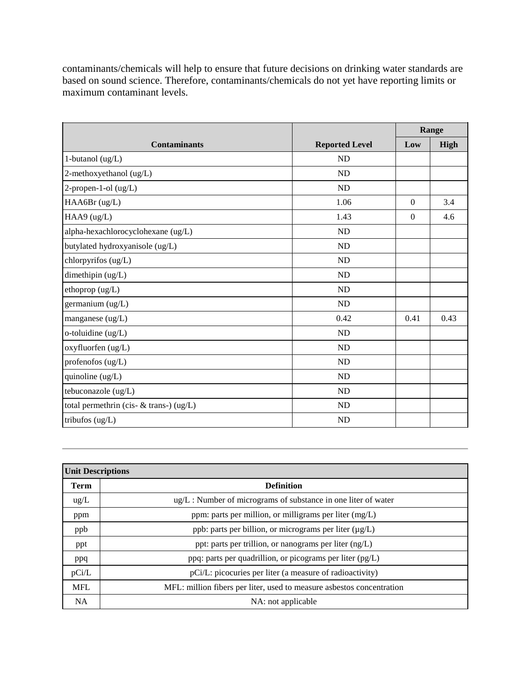contaminants/chemicals will help to ensure that future decisions on drinking water standards are based on sound science. Therefore, contaminants/chemicals do not yet have reporting limits or maximum contaminant levels.

|                                         |                       |          | Range |
|-----------------------------------------|-----------------------|----------|-------|
| <b>Contaminants</b>                     | <b>Reported Level</b> | Low      | High  |
| 1-butanol $(ug/L)$                      | <b>ND</b>             |          |       |
| 2-methoxyethanol (ug/L)                 | <b>ND</b>             |          |       |
| 2-propen-1-ol (ug/L)                    | <b>ND</b>             |          |       |
| HAA6Br (ug/L)                           | 1.06                  | $\Omega$ | 3.4   |
| HAA9 (ug/L)                             | 1.43                  | $\Omega$ | 4.6   |
| alpha-hexachlorocyclohexane (ug/L)      | <b>ND</b>             |          |       |
| butylated hydroxyanisole (ug/L)         | <b>ND</b>             |          |       |
| chlorpyrifos (ug/L)                     | <b>ND</b>             |          |       |
| dimethipin (ug/L)                       | <b>ND</b>             |          |       |
| ethoprop (ug/L)                         | <b>ND</b>             |          |       |
| germanium (ug/L)                        | <b>ND</b>             |          |       |
| manganese (ug/L)                        | 0.42                  | 0.41     | 0.43  |
| o-toluidine (ug/L)                      | <b>ND</b>             |          |       |
| oxyfluorfen (ug/L)                      | <b>ND</b>             |          |       |
| profenofos (ug/L)                       | <b>ND</b>             |          |       |
| quinoline $(ug/L)$                      | ND                    |          |       |
| tebuconazole (ug/L)                     | <b>ND</b>             |          |       |
| total permethrin (cis- & trans-) (ug/L) | <b>ND</b>             |          |       |
| tribufos (ug/L)                         | <b>ND</b>             |          |       |

| <b>Unit Descriptions</b> |                                                                       |
|--------------------------|-----------------------------------------------------------------------|
| <b>Term</b>              | <b>Definition</b>                                                     |
| $\text{ug/L}$            | $\mu$ g/L : Number of micrograms of substance in one liter of water   |
| ppm                      | ppm: parts per million, or milligrams per liter $(mg/L)$              |
| ppb                      | ppb: parts per billion, or micrograms per liter (µg/L)                |
| ppt                      | ppt: parts per trillion, or nanograms per liter $(ng/L)$              |
| ppq                      | ppq: parts per quadrillion, or picograms per liter (pg/L)             |
| pCi/L                    | pCi/L: picocuries per liter (a measure of radioactivity)              |
| <b>MFL</b>               | MFL: million fibers per liter, used to measure asbestos concentration |
| <b>NA</b>                | NA: not applicable                                                    |